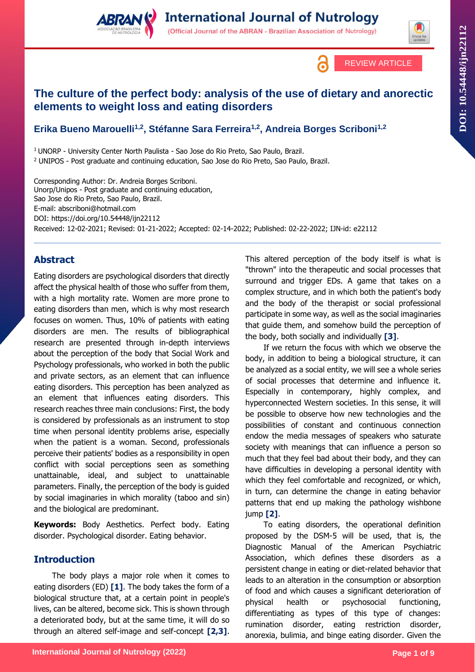

# **The culture of the perfect body: analysis of the use of dietary and anorectic elements to weight loss and eating disorders**

## **Erika Bueno Marouelli1,2, Stéfanne Sara Ferreira1,2, Andreia Borges Scriboni1,2**

<sup>1</sup> UNORP - University Center North Paulista - Sao Jose do Rio Preto, Sao Paulo, Brazil. <sup>2</sup> UNIPOS - Post graduate and continuing education, Sao Jose do Rio Preto, Sao Paulo, Brazil.

Corresponding Author: Dr. Andreia Borges Scriboni. Unorp/Unipos - Post graduate and continuing education, Sao Jose do Rio Preto, Sao Paulo, Brazil. E-mail: abscriboni@hotmail.com DOI:<https://doi.org/10.54448/ijn22112> Received: 12-02-2021; Revised: 01-21-2022; Accepted: 02-14-2022; Published: 02-22-2022; IJN-id: e22112

## **Abstract**

Eating disorders are psychological disorders that directly affect the physical health of those who suffer from them, with a high mortality rate. Women are more prone to eating disorders than men, which is why most research focuses on women. Thus, 10% of patients with eating disorders are men. The results of bibliographical research are presented through in-depth interviews about the perception of the body that Social Work and Psychology professionals, who worked in both the public and private sectors, as an element that can influence eating disorders. This perception has been analyzed as an element that influences eating disorders. This research reaches three main conclusions: First, the body is considered by professionals as an instrument to stop time when personal identity problems arise, especially when the patient is a woman. Second, professionals perceive their patients' bodies as a responsibility in open conflict with social perceptions seen as something unattainable, ideal, and subject to unattainable parameters. Finally, the perception of the body is guided by social imaginaries in which morality (taboo and sin) and the biological are predominant.

**Keywords:** Body Aesthetics. Perfect body. Eating disorder. Psychological disorder. Eating behavior.

## **Introduction**

The body plays a major role when it comes to eating disorders (ED) **[1]**. The body takes the form of a biological structure that, at a certain point in people's lives, can be altered, become sick. This is shown through a deteriorated body, but at the same time, it will do so through an altered self-image and self-concept **[2,3]**.

This altered perception of the body itself is what is "thrown" into the therapeutic and social processes that surround and trigger EDs. A game that takes on a complex structure, and in which both the patient's body and the body of the therapist or social professional participate in some way, as well as the social imaginaries that guide them, and somehow build the perception of the body, both socially and individually **[3]**.

If we return the focus with which we observe the body, in addition to being a biological structure, it can be analyzed as a social entity, we will see a whole series of social processes that determine and influence it. Especially in contemporary, highly complex, and hyperconnected Western societies. In this sense, it will be possible to observe how new technologies and the possibilities of constant and continuous connection endow the media messages of speakers who saturate society with meanings that can influence a person so much that they feel bad about their body, and they can have difficulties in developing a personal identity with which they feel comfortable and recognized, or which, in turn, can determine the change in eating behavior patterns that end up making the pathology wishbone jump **[2]**.

To eating disorders, the operational definition proposed by the DSM-5 will be used, that is, the Diagnostic Manual of the American Psychiatric Association, which defines these disorders as a persistent change in eating or diet-related behavior that leads to an alteration in the consumption or absorption of food and which causes a significant deterioration of physical health or psychosocial functioning, differentiating as types of this type of changes: rumination disorder, eating restriction disorder, anorexia, bulimia, and binge eating disorder. Given the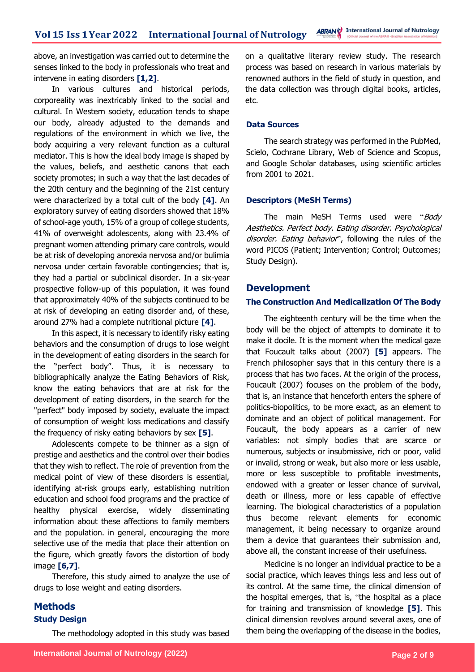above, an investigation was carried out to determine the senses linked to the body in professionals who treat and intervene in eating disorders **[1,2]**.

In various cultures and historical periods, corporeality was inextricably linked to the social and cultural. In Western society, education tends to shape our body, already adjusted to the demands and regulations of the environment in which we live, the body acquiring a very relevant function as a cultural mediator. This is how the ideal body image is shaped by the values, beliefs, and aesthetic canons that each society promotes; in such a way that the last decades of the 20th century and the beginning of the 21st century were characterized by a total cult of the body **[4]**. An exploratory survey of eating disorders showed that 18% of school-age youth, 15% of a group of college students, 41% of overweight adolescents, along with 23.4% of pregnant women attending primary care controls, would be at risk of developing anorexia nervosa and/or bulimia nervosa under certain favorable contingencies; that is, they had a partial or subclinical disorder. In a six-year prospective follow-up of this population, it was found that approximately 40% of the subjects continued to be at risk of developing an eating disorder and, of these, around 27% had a complete nutritional picture **[4]**.

In this aspect, it is necessary to identify risky eating behaviors and the consumption of drugs to lose weight in the development of eating disorders in the search for the "perfect body". Thus, it is necessary to bibliographically analyze the Eating Behaviors of Risk, know the eating behaviors that are at risk for the development of eating disorders, in the search for the "perfect" body imposed by society, evaluate the impact of consumption of weight loss medications and classify the frequency of risky eating behaviors by sex **[5]**.

Adolescents compete to be thinner as a sign of prestige and aesthetics and the control over their bodies that they wish to reflect. The role of prevention from the medical point of view of these disorders is essential, identifying at-risk groups early, establishing nutrition education and school food programs and the practice of healthy physical exercise, widely disseminating information about these affections to family members and the population. in general, encouraging the more selective use of the media that place their attention on the figure, which greatly favors the distortion of body image **[6,7]**.

Therefore, this study aimed to analyze the use of drugs to lose weight and eating disorders.

## **Methods Study Design**

The methodology adopted in this study was based

on a qualitative literary review study. The research process was based on research in various materials by renowned authors in the field of study in question, and the data collection was through digital books, articles, etc.

### **Data Sources**

The search strategy was performed in the PubMed, Scielo, Cochrane Library, Web of Science and Scopus, and Google Scholar databases, using scientific articles from 2001 to 2021.

### **Descriptors (MeSH Terms)**

The main MeSH Terms used were "Body Aesthetics. Perfect body. Eating disorder. Psychological disorder. Eating behavior", following the rules of the word PICOS (Patient; Intervention; Control; Outcomes; Study Design).

## **Development**

### **The Construction And Medicalization Of The Body**

The eighteenth century will be the time when the body will be the object of attempts to dominate it to make it docile. It is the moment when the medical gaze that Foucault talks about (2007) **[5]** appears. The French philosopher says that in this century there is a process that has two faces. At the origin of the process, Foucault (2007) focuses on the problem of the body, that is, an instance that henceforth enters the sphere of politics-biopolitics, to be more exact, as an element to dominate and an object of political management. For Foucault, the body appears as a carrier of new variables: not simply bodies that are scarce or numerous, subjects or insubmissive, rich or poor, valid or invalid, strong or weak, but also more or less usable, more or less susceptible to profitable investments, endowed with a greater or lesser chance of survival, death or illness, more or less capable of effective learning. The biological characteristics of a population thus become relevant elements for economic management, it being necessary to organize around them a device that guarantees their submission and, above all, the constant increase of their usefulness.

Medicine is no longer an individual practice to be a social practice, which leaves things less and less out of its control. At the same time, the clinical dimension of the hospital emerges, that is, "the hospital as a place for training and transmission of knowledge **[5]**. This clinical dimension revolves around several axes, one of them being the overlapping of the disease in the bodies,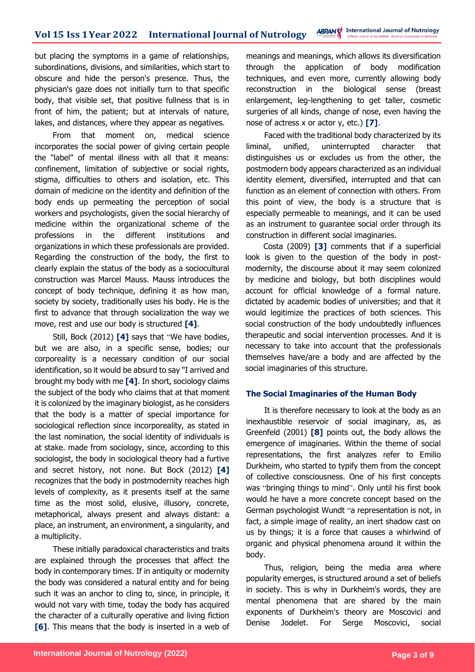but placing the symptoms in a game of relationships, subordinations, divisions, and similarities, which start to obscure and hide the person's presence. Thus, the physician's gaze does not initially turn to that specific body, that visible set, that positive fullness that is in front of him, the patient; but at intervals of nature, lakes, and distances, where they appear as negatives.

From that moment on, medical science incorporates the social power of giving certain people the "label" of mental illness with all that it means: confinement, limitation of subjective or social rights, stigma, difficulties to others and isolation, etc. This domain of medicine on the identity and definition of the body ends up permeating the perception of social workers and psychologists, given the social hierarchy of medicine within the organizational scheme of the professions in the different institutions and organizations in which these professionals are provided. Regarding the construction of the body, the first to clearly explain the status of the body as a sociocultural construction was Marcel Mauss. Mauss introduces the concept of body technique, defining it as how man, society by society, traditionally uses his body. He is the first to advance that through socialization the way we move, rest and use our body is structured **[4]**.

Still, Bock (2012) **[4]** says that "We have bodies, but we are also, in a specific sense, bodies; our corporeality is a necessary condition of our social identification, so it would be absurd to say "I arrived and brought my body with me **[4]**. In short, sociology claims the subject of the body who claims that at that moment it is colonized by the imaginary biologist, as he considers that the body is a matter of special importance for sociological reflection since incorporeality, as stated in the last nomination, the social identity of individuals is at stake. made from sociology, since, according to this sociologist, the body in sociological theory had a furtive and secret history, not none. But Bock (2012) **[4]** recognizes that the body in postmodernity reaches high levels of complexity, as it presents itself at the same time as the most solid, elusive, illusory, concrete, metaphorical, always present and always distant: a place, an instrument, an environment, a singularity, and a multiplicity.

These initially paradoxical characteristics and traits are explained through the processes that affect the body in contemporary times. If in antiquity or modernity the body was considered a natural entity and for being such it was an anchor to cling to, since, in principle, it would not vary with time, today the body has acquired the character of a culturally operative and living fiction **[6]**. This means that the body is inserted in a web of meanings and meanings, which allows its diversification through the application of body modification techniques, and even more, currently allowing body reconstruction in the biological sense (breast enlargement, leg-lengthening to get taller, cosmetic surgeries of all kinds, change of nose, even having the nose of actress x or actor y, etc.) **[7]**.

Faced with the traditional body characterized by its liminal, unified, uninterrupted character that distinguishes us or excludes us from the other, the postmodern body appears characterized as an individual identity element, diversified, interrupted and that can function as an element of connection with others. From this point of view, the body is a structure that is especially permeable to meanings, and it can be used as an instrument to guarantee social order through its construction in different social imaginaries.

Costa (2009) **[3]** comments that if a superficial look is given to the question of the body in postmodernity, the discourse about it may seem colonized by medicine and biology, but both disciplines would account for official knowledge of a formal nature. dictated by academic bodies of universities; and that it would legitimize the practices of both sciences. This social construction of the body undoubtedly influences therapeutic and social intervention processes. And it is necessary to take into account that the professionals themselves have/are a body and are affected by the social imaginaries of this structure.

### **The Social Imaginaries of the Human Body**

It is therefore necessary to look at the body as an inexhaustible reservoir of social imaginary, as, as Greenfeld (2001) **[8]** points out, the body allows the emergence of imaginaries. Within the theme of social representations, the first analyzes refer to Emilio Durkheim, who started to typify them from the concept of collective consciousness. One of his first concepts was "bringing things to mind". Only until his first book would he have a more concrete concept based on the German psychologist Wundt "a representation is not, in fact, a simple image of reality, an inert shadow cast on us by things; it is a force that causes a whirlwind of organic and physical phenomena around it within the body.

Thus, religion, being the media area where popularity emerges, is structured around a set of beliefs in society. This is why in Durkheim's words, they are mental phenomena that are shared by the main exponents of Durkheim's theory are Moscovici and Denise Jodelet. For Serge Moscovici, social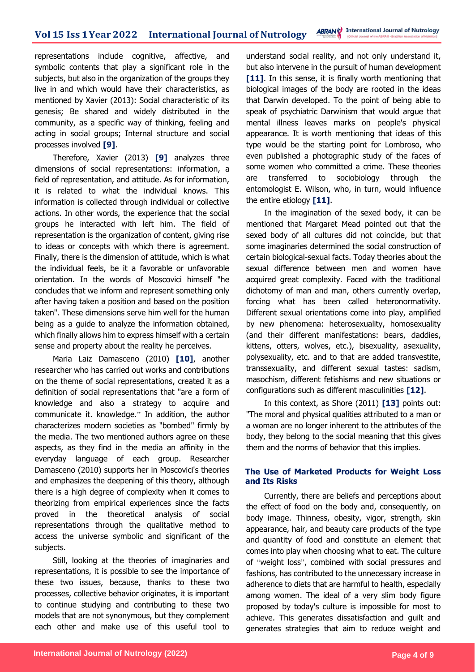representations include cognitive, affective, and symbolic contents that play a significant role in the subjects, but also in the organization of the groups they live in and which would have their characteristics, as mentioned by Xavier (2013): Social characteristic of its genesis; Be shared and widely distributed in the community, as a specific way of thinking, feeling and acting in social groups; Internal structure and social processes involved **[9]**.

Therefore, Xavier (2013) **[9]** analyzes three dimensions of social representations: information, a field of representation, and attitude. As for information, it is related to what the individual knows. This information is collected through individual or collective actions. In other words, the experience that the social groups he interacted with left him. The field of representation is the organization of content, giving rise to ideas or concepts with which there is agreement. Finally, there is the dimension of attitude, which is what the individual feels, be it a favorable or unfavorable orientation. In the words of Moscovici himself "he concludes that we inform and represent something only after having taken a position and based on the position taken". These dimensions serve him well for the human being as a guide to analyze the information obtained, which finally allows him to express himself with a certain sense and property about the reality he perceives.

Maria Laiz Damasceno (2010) **[10]**, another researcher who has carried out works and contributions on the theme of social representations, created it as a definition of social representations that "are a form of knowledge and also a strategy to acquire and communicate it. knowledge." In addition, the author characterizes modern societies as "bombed" firmly by the media. The two mentioned authors agree on these aspects, as they find in the media an affinity in the everyday language of each group. Researcher Damasceno (2010) supports her in Moscovici's theories and emphasizes the deepening of this theory, although there is a high degree of complexity when it comes to theorizing from empirical experiences since the facts proved in the theoretical analysis of social representations through the qualitative method to access the universe symbolic and significant of the subjects.

Still, looking at the theories of imaginaries and representations, it is possible to see the importance of these two issues, because, thanks to these two processes, collective behavior originates, it is important to continue studying and contributing to these two models that are not synonymous, but they complement each other and make use of this useful tool to

understand social reality, and not only understand it, but also intervene in the pursuit of human development [11]. In this sense, it is finally worth mentioning that biological images of the body are rooted in the ideas that Darwin developed. To the point of being able to speak of psychiatric Darwinism that would argue that mental illness leaves marks on people's physical appearance. It is worth mentioning that ideas of this type would be the starting point for Lombroso, who even published a photographic study of the faces of some women who committed a crime. These theories are transferred to sociobiology through the entomologist E. Wilson, who, in turn, would influence the entire etiology **[11]**.

In the imagination of the sexed body, it can be mentioned that Margaret Mead pointed out that the sexed body of all cultures did not coincide, but that some imaginaries determined the social construction of certain biological-sexual facts. Today theories about the sexual difference between men and women have acquired great complexity. Faced with the traditional dichotomy of man and man, others currently overlap, forcing what has been called heteronormativity. Different sexual orientations come into play, amplified by new phenomena: heterosexuality, homosexuality (and their different manifestations: bears, daddies, kittens, otters, wolves, etc.), bisexuality, asexuality, polysexuality, etc. and to that are added transvestite, transsexuality, and different sexual tastes: sadism, masochism, different fetishisms and new situations or configurations such as different masculinities **[12]**.

In this context, as Shore (2011) **[13]** points out: "The moral and physical qualities attributed to a man or a woman are no longer inherent to the attributes of the body, they belong to the social meaning that this gives them and the norms of behavior that this implies.

### **The Use of Marketed Products for Weight Loss and Its Risks**

Currently, there are beliefs and perceptions about the effect of food on the body and, consequently, on body image. Thinness, obesity, vigor, strength, skin appearance, hair, and beauty care products of the type and quantity of food and constitute an element that comes into play when choosing what to eat. The culture of "weight loss", combined with social pressures and fashions, has contributed to the unnecessary increase in adherence to diets that are harmful to health, especially among women. The ideal of a very slim body figure proposed by today's culture is impossible for most to achieve. This generates dissatisfaction and guilt and generates strategies that aim to reduce weight and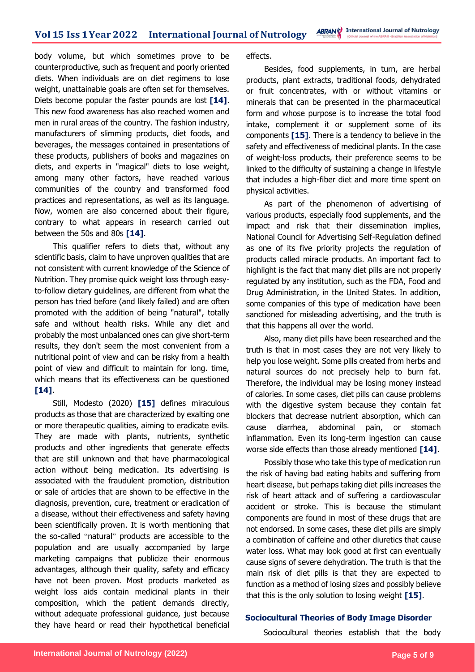body volume, but which sometimes prove to be counterproductive, such as frequent and poorly oriented diets. When individuals are on diet regimens to lose weight, unattainable goals are often set for themselves. Diets become popular the faster pounds are lost **[14]**. This new food awareness has also reached women and men in rural areas of the country. The fashion industry, manufacturers of slimming products, diet foods, and beverages, the messages contained in presentations of these products, publishers of books and magazines on diets, and experts in "magical" diets to lose weight, among many other factors, have reached various communities of the country and transformed food practices and representations, as well as its language. Now, women are also concerned about their figure, contrary to what appears in research carried out between the 50s and 80s **[14]**.

This qualifier refers to diets that, without any scientific basis, claim to have unproven qualities that are not consistent with current knowledge of the Science of Nutrition. They promise quick weight loss through easyto-follow dietary guidelines, are different from what the person has tried before (and likely failed) and are often promoted with the addition of being "natural", totally safe and without health risks. While any diet and probably the most unbalanced ones can give short-term results, they don't seem the most convenient from a nutritional point of view and can be risky from a health point of view and difficult to maintain for long. time, which means that its effectiveness can be questioned **[14]**.

Still, Modesto (2020) **[15]** defines miraculous products as those that are characterized by exalting one or more therapeutic qualities, aiming to eradicate evils. They are made with plants, nutrients, synthetic products and other ingredients that generate effects that are still unknown and that have pharmacological action without being medication. Its advertising is associated with the fraudulent promotion, distribution or sale of articles that are shown to be effective in the diagnosis, prevention, cure, treatment or eradication of a disease, without their effectiveness and safety having been scientifically proven. It is worth mentioning that the so-called "natural" products are accessible to the population and are usually accompanied by large marketing campaigns that publicize their enormous advantages, although their quality, safety and efficacy have not been proven. Most products marketed as weight loss aids contain medicinal plants in their composition, which the patient demands directly, without adequate professional guidance, just because they have heard or read their hypothetical beneficial

effects.

Besides, food supplements, in turn, are herbal products, plant extracts, traditional foods, dehydrated or fruit concentrates, with or without vitamins or minerals that can be presented in the pharmaceutical form and whose purpose is to increase the total food intake, complement it or supplement some of its components **[15]**. There is a tendency to believe in the safety and effectiveness of medicinal plants. In the case of weight-loss products, their preference seems to be linked to the difficulty of sustaining a change in lifestyle that includes a high-fiber diet and more time spent on physical activities.

As part of the phenomenon of advertising of various products, especially food supplements, and the impact and risk that their dissemination implies, National Council for Advertising Self-Regulation defined as one of its five priority projects the regulation of products called miracle products. An important fact to highlight is the fact that many diet pills are not properly regulated by any institution, such as the FDA, Food and Drug Administration, in the United States. In addition, some companies of this type of medication have been sanctioned for misleading advertising, and the truth is that this happens all over the world.

Also, many diet pills have been researched and the truth is that in most cases they are not very likely to help you lose weight. Some pills created from herbs and natural sources do not precisely help to burn fat. Therefore, the individual may be losing money instead of calories. In some cases, diet pills can cause problems with the digestive system because they contain fat blockers that decrease nutrient absorption, which can cause diarrhea, abdominal pain, or stomach inflammation. Even its long-term ingestion can cause worse side effects than those already mentioned **[14]**.

Possibly those who take this type of medication run the risk of having bad eating habits and suffering from heart disease, but perhaps taking diet pills increases the risk of heart attack and of suffering a cardiovascular accident or stroke. This is because the stimulant components are found in most of these drugs that are not endorsed. In some cases, these diet pills are simply a combination of caffeine and other diuretics that cause water loss. What may look good at first can eventually cause signs of severe dehydration. The truth is that the main risk of diet pills is that they are expected to function as a method of losing sizes and possibly believe that this is the only solution to losing weight **[15]**.

### **Sociocultural Theories of Body Image Disorder**

Sociocultural theories establish that the body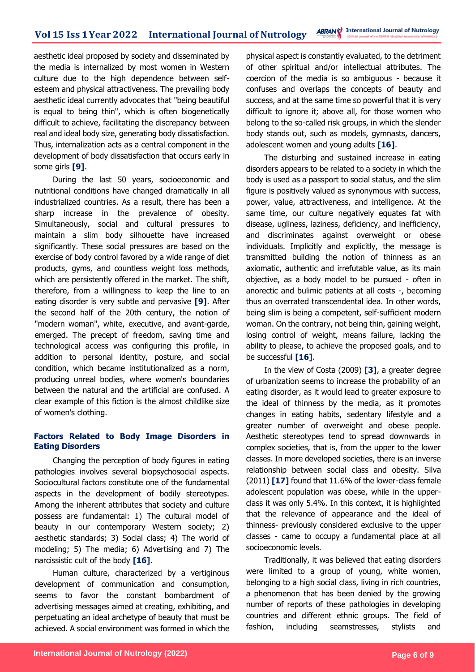aesthetic ideal proposed by society and disseminated by the media is internalized by most women in Western culture due to the high dependence between selfesteem and physical attractiveness. The prevailing body aesthetic ideal currently advocates that "being beautiful is equal to being thin", which is often biogenetically difficult to achieve, facilitating the discrepancy between real and ideal body size, generating body dissatisfaction. Thus, internalization acts as a central component in the development of body dissatisfaction that occurs early in some girls **[9]**.

During the last 50 years, socioeconomic and nutritional conditions have changed dramatically in all industrialized countries. As a result, there has been a sharp increase in the prevalence of obesity. Simultaneously, social and cultural pressures to maintain a slim body silhouette have increased significantly. These social pressures are based on the exercise of body control favored by a wide range of diet products, gyms, and countless weight loss methods, which are persistently offered in the market. The shift, therefore, from a willingness to keep the line to an eating disorder is very subtle and pervasive **[9]**. After the second half of the 20th century, the notion of "modern woman", white, executive, and avant-garde, emerged. The precept of freedom, saving time and technological access was configuring this profile, in addition to personal identity, posture, and social condition, which became institutionalized as a norm, producing unreal bodies, where women's boundaries between the natural and the artificial are confused. A clear example of this fiction is the almost childlike size of women's clothing.

## **Factors Related to Body Image Disorders in Eating Disorders**

Changing the perception of body figures in eating pathologies involves several biopsychosocial aspects. Sociocultural factors constitute one of the fundamental aspects in the development of bodily stereotypes. Among the inherent attributes that society and culture possess are fundamental: 1) The cultural model of beauty in our contemporary Western society; 2) aesthetic standards; 3) Social class; 4) The world of modeling; 5) The media; 6) Advertising and 7) The narcissistic cult of the body **[16]**.

Human culture, characterized by a vertiginous development of communication and consumption, seems to favor the constant bombardment of advertising messages aimed at creating, exhibiting, and perpetuating an ideal archetype of beauty that must be achieved. A social environment was formed in which the physical aspect is constantly evaluated, to the detriment of other spiritual and/or intellectual attributes. The coercion of the media is so ambiguous - because it confuses and overlaps the concepts of beauty and success, and at the same time so powerful that it is very difficult to ignore it; above all, for those women who belong to the so-called risk groups, in which the slender body stands out, such as models, gymnasts, dancers, adolescent women and young adults **[16]**.

The disturbing and sustained increase in eating disorders appears to be related to a society in which the body is used as a passport to social status, and the slim figure is positively valued as synonymous with success, power, value, attractiveness, and intelligence. At the same time, our culture negatively equates fat with disease, ugliness, laziness, deficiency, and inefficiency, and discriminates against overweight or obese individuals. Implicitly and explicitly, the message is transmitted building the notion of thinness as an axiomatic, authentic and irrefutable value, as its main objective, as a body model to be pursued - often in anorectic and bulimic patients at all costs -, becoming thus an overrated transcendental idea. In other words, being slim is being a competent, self-sufficient modern woman. On the contrary, not being thin, gaining weight, losing control of weight, means failure, lacking the ability to please, to achieve the proposed goals, and to be successful **[16]**.

In the view of Costa (2009) **[3]**, a greater degree of urbanization seems to increase the probability of an eating disorder, as it would lead to greater exposure to the ideal of thinness by the media, as it promotes changes in eating habits, sedentary lifestyle and a greater number of overweight and obese people. Aesthetic stereotypes tend to spread downwards in complex societies, that is, from the upper to the lower classes. In more developed societies, there is an inverse relationship between social class and obesity. Silva (2011) **[17]** found that 11.6% of the lower-class female adolescent population was obese, while in the upperclass it was only 5.4%. In this context, it is highlighted that the relevance of appearance and the ideal of thinness- previously considered exclusive to the upper classes - came to occupy a fundamental place at all socioeconomic levels.

Traditionally, it was believed that eating disorders were limited to a group of young, white women, belonging to a high social class, living in rich countries, a phenomenon that has been denied by the growing number of reports of these pathologies in developing countries and different ethnic groups. The field of fashion, including seamstresses, stylists and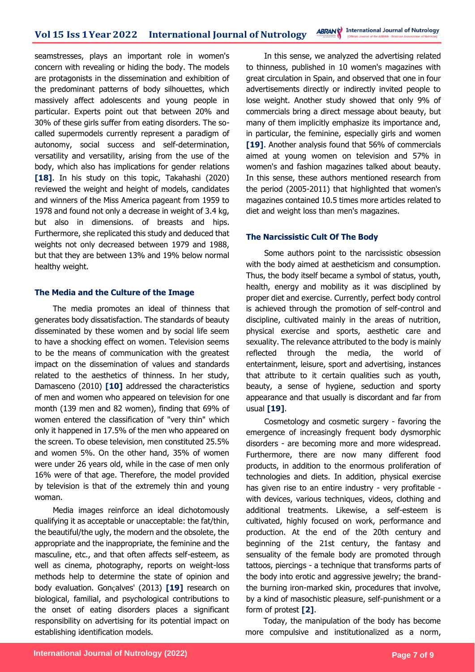seamstresses, plays an important role in women's concern with revealing or hiding the body. The models are protagonists in the dissemination and exhibition of the predominant patterns of body silhouettes, which massively affect adolescents and young people in particular. Experts point out that between 20% and 30% of these girls suffer from eating disorders. The socalled supermodels currently represent a paradigm of autonomy, social success and self-determination, versatility and versatility, arising from the use of the body, which also has implications for gender relations **[18]**. In his study on this topic, Takahashi (2020) reviewed the weight and height of models, candidates and winners of the Miss America pageant from 1959 to 1978 and found not only a decrease in weight of 3.4 kg, but also in dimensions. of breasts and hips. Furthermore, she replicated this study and deduced that weights not only decreased between 1979 and 1988, but that they are between 13% and 19% below normal healthy weight.

### **The Media and the Culture of the Image**

The media promotes an ideal of thinness that generates body dissatisfaction. The standards of beauty disseminated by these women and by social life seem to have a shocking effect on women. Television seems to be the means of communication with the greatest impact on the dissemination of values and standards related to the aesthetics of thinness. In her study, Damasceno (2010) **[10]** addressed the characteristics of men and women who appeared on television for one month (139 men and 82 women), finding that 69% of women entered the classification of "very thin" which only it happened in 17.5% of the men who appeared on the screen. To obese television, men constituted 25.5% and women 5%. On the other hand, 35% of women were under 26 years old, while in the case of men only 16% were of that age. Therefore, the model provided by television is that of the extremely thin and young woman.

Media images reinforce an ideal dichotomously qualifying it as acceptable or unacceptable: the fat/thin, the beautiful/the ugly, the modern and the obsolete, the appropriate and the inappropriate, the feminine and the masculine, etc., and that often affects self-esteem, as well as cinema, photography, reports on weight-loss methods help to determine the state of opinion and body evaluation. Gonçalves' (2013) **[19]** research on biological, familial, and psychological contributions to the onset of eating disorders places a significant responsibility on advertising for its potential impact on establishing identification models.

In this sense, we analyzed the advertising related to thinness, published in 10 women's magazines with great circulation in Spain, and observed that one in four advertisements directly or indirectly invited people to lose weight. Another study showed that only 9% of commercials bring a direct message about beauty, but many of them implicitly emphasize its importance and, in particular, the feminine, especially girls and women **[19]**. Another analysis found that 56% of commercials aimed at young women on television and 57% in women's and fashion magazines talked about beauty. In this sense, these authors mentioned research from the period (2005-2011) that highlighted that women's magazines contained 10.5 times more articles related to diet and weight loss than men's magazines.

### **The Narcissistic Cult Of The Body**

Some authors point to the narcissistic obsession with the body aimed at aestheticism and consumption. Thus, the body itself became a symbol of status, youth, health, energy and mobility as it was disciplined by proper diet and exercise. Currently, perfect body control is achieved through the promotion of self-control and discipline, cultivated mainly in the areas of nutrition, physical exercise and sports, aesthetic care and sexuality. The relevance attributed to the body is mainly reflected through the media, the world of entertainment, leisure, sport and advertising, instances that attribute to it certain qualities such as youth, beauty, a sense of hygiene, seduction and sporty appearance and that usually is discordant and far from usual **[19]**.

Cosmetology and cosmetic surgery - favoring the emergence of increasingly frequent body dysmorphic disorders - are becoming more and more widespread. Furthermore, there are now many different food products, in addition to the enormous proliferation of technologies and diets. In addition, physical exercise has given rise to an entire industry - very profitable with devices, various techniques, videos, clothing and additional treatments. Likewise, a self-esteem is cultivated, highly focused on work, performance and production. At the end of the 20th century and beginning of the 21st century, the fantasy and sensuality of the female body are promoted through tattoos, piercings - a technique that transforms parts of the body into erotic and aggressive jewelry; the brandthe burning iron-marked skin, procedures that involve, by a kind of masochistic pleasure, self-punishment or a form of protest **[2]**.

Today, the manipulation of the body has become more compulsive and institutionalized as a norm,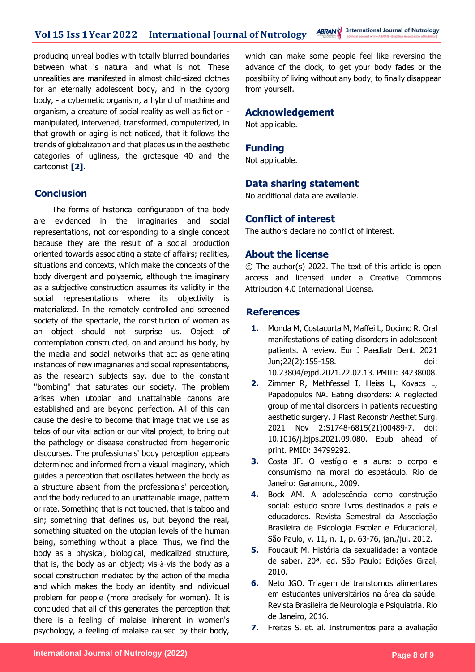producing unreal bodies with totally blurred boundaries between what is natural and what is not. These unrealities are manifested in almost child-sized clothes for an eternally adolescent body, and in the cyborg body, - a cybernetic organism, a hybrid of machine and organism, a creature of social reality as well as fiction manipulated, intervened, transformed, computerized, in that growth or aging is not noticed, that it follows the trends of globalization and that places us in the aesthetic categories of ugliness, the grotesque 40 and the cartoonist **[2]**.

## **Conclusion**

The forms of historical configuration of the body are evidenced in the imaginaries and social representations, not corresponding to a single concept because they are the result of a social production oriented towards associating a state of affairs; realities, situations and contexts, which make the concepts of the body divergent and polysemic, although the imaginary as a subjective construction assumes its validity in the social representations where its objectivity is materialized. In the remotely controlled and screened society of the spectacle, the constitution of woman as an object should not surprise us. Object of contemplation constructed, on and around his body, by the media and social networks that act as generating instances of new imaginaries and social representations, as the research subjects say, due to the constant "bombing" that saturates our society. The problem arises when utopian and unattainable canons are established and are beyond perfection. All of this can cause the desire to become that image that we use as telos of our vital action or our vital project, to bring out the pathology or disease constructed from hegemonic discourses. The professionals' body perception appears determined and informed from a visual imaginary, which guides a perception that oscillates between the body as a structure absent from the professionals' perception, and the body reduced to an unattainable image, pattern or rate. Something that is not touched, that is taboo and sin; something that defines us, but beyond the real, something situated on the utopian levels of the human being, something without a place. Thus, we find the body as a physical, biological, medicalized structure, that is, the body as an object; vis-à-vis the body as a social construction mediated by the action of the media and which makes the body an identity and individual problem for people (more precisely for women). It is concluded that all of this generates the perception that there is a feeling of malaise inherent in women's psychology, a feeling of malaise caused by their body,

which can make some people feel like reversing the advance of the clock, to get your body fades or the possibility of living without any body, to finally disappear from yourself.

### **Acknowledgement**

Not applicable.

## **Funding**

Not applicable.

## **Data sharing statement**

No additional data are available.

## **Conflict of interest**

The authors declare no conflict of interest.

### **About the license**

© The author(s) 2022. The text of this article is open access and licensed under a Creative Commons Attribution 4.0 International License.

## **References**

- **1.** Monda M, Costacurta M, Maffei L, Docimo R. Oral manifestations of eating disorders in adolescent patients. A review. Eur J Paediatr Dent. 2021 Jun;22(2):155-158. doi: 10.23804/ejpd.2021.22.02.13. PMID: 34238008.
- **2.** Zimmer R, Methfessel I, Heiss L, Kovacs L, Papadopulos NA. Eating disorders: A neglected group of mental disorders in patients requesting aesthetic surgery. J Plast Reconstr Aesthet Surg. 2021 Nov 2:S1748-6815(21)00489-7. doi: 10.1016/j.bjps.2021.09.080. Epub ahead of print. PMID: 34799292.
- **3.** Costa JF. O vestígio e a aura: o corpo e consumismo na moral do espetáculo. Rio de Janeiro: Garamond, 2009.
- **4.** Bock AM. A adolescência como construção social: estudo sobre livros destinados a pais e educadores. Revista Semestral da Associação Brasileira de Psicologia Escolar e Educacional, São Paulo, v. 11, n. 1, p. 63-76, jan./jul. 2012.
- **5.** Foucault M. História da sexualidade: a vontade de saber. 20ª. ed. São Paulo: Edições Graal, 2010.
- **6.** Neto JGO. Triagem de transtornos alimentares em estudantes universitários na área da saúde. Revista Brasileira de Neurologia e Psiquiatria. Rio de Janeiro, 2016.
- **7.** Freitas S. et. al. Instrumentos para a avaliação